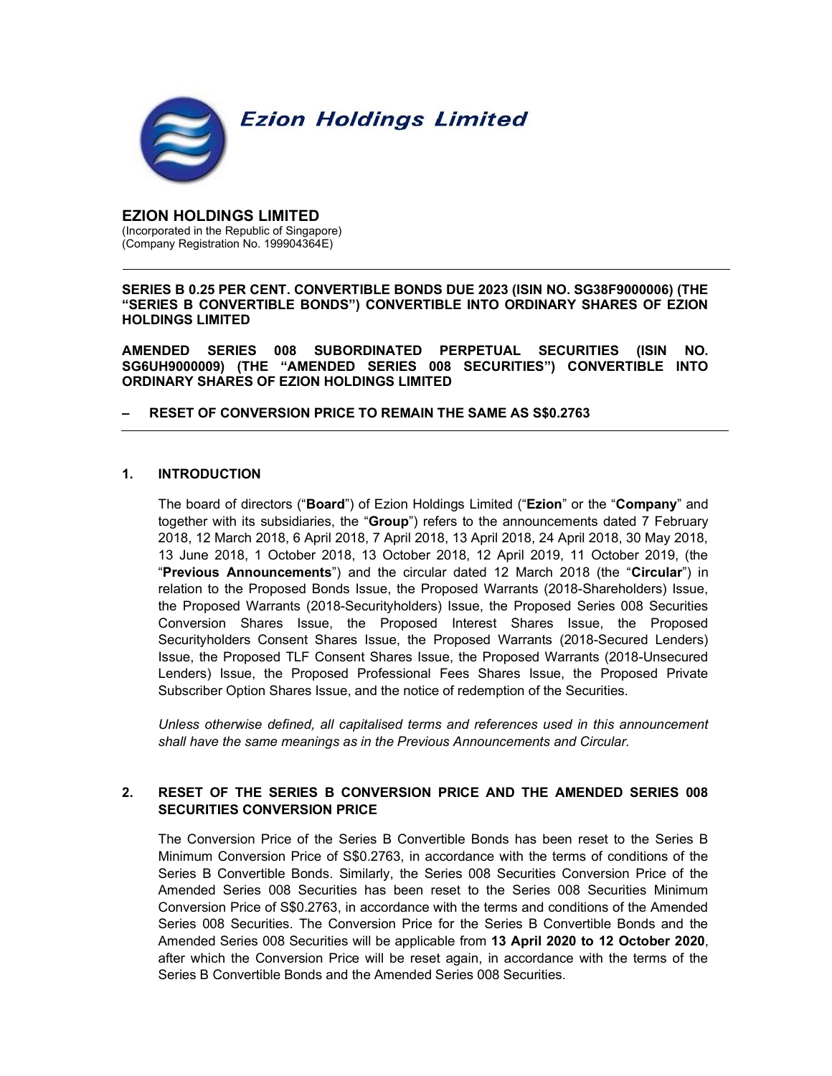

EZION HOLDINGS LIMITED (Incorporated in the Republic of Singapore) (Company Registration No. 199904364E)

SERIES B 0.25 PER CENT. CONVERTIBLE BONDS DUE 2023 (ISIN NO. SG38F9000006) (THE "SERIES B CONVERTIBLE BONDS") CONVERTIBLE INTO ORDINARY SHARES OF EZION HOLDINGS LIMITED

AMENDED SERIES 008 SUBORDINATED PERPETUAL SECURITIES (ISIN NO. SG6UH9000009) (THE "AMENDED SERIES 008 SECURITIES") CONVERTIBLE INTO ORDINARY SHARES OF EZION HOLDINGS LIMITED

## – RESET OF CONVERSION PRICE TO REMAIN THE SAME AS S\$0.2763

## 1. INTRODUCTION

The board of directors ("Board") of Ezion Holdings Limited ("Ezion" or the "Company" and together with its subsidiaries, the "Group") refers to the announcements dated 7 February 2018, 12 March 2018, 6 April 2018, 7 April 2018, 13 April 2018, 24 April 2018, 30 May 2018, 13 June 2018, 1 October 2018, 13 October 2018, 12 April 2019, 11 October 2019, (the "Previous Announcements") and the circular dated 12 March 2018 (the "Circular") in relation to the Proposed Bonds Issue, the Proposed Warrants (2018-Shareholders) Issue, the Proposed Warrants (2018-Securityholders) Issue, the Proposed Series 008 Securities Conversion Shares Issue, the Proposed Interest Shares Issue, the Proposed Securityholders Consent Shares Issue, the Proposed Warrants (2018-Secured Lenders) Issue, the Proposed TLF Consent Shares Issue, the Proposed Warrants (2018-Unsecured Lenders) Issue, the Proposed Professional Fees Shares Issue, the Proposed Private Subscriber Option Shares Issue, and the notice of redemption of the Securities.

Unless otherwise defined, all capitalised terms and references used in this announcement shall have the same meanings as in the Previous Announcements and Circular.

## 2. RESET OF THE SERIES B CONVERSION PRICE AND THE AMENDED SERIES 008 SECURITIES CONVERSION PRICE

The Conversion Price of the Series B Convertible Bonds has been reset to the Series B Minimum Conversion Price of S\$0.2763, in accordance with the terms of conditions of the Series B Convertible Bonds. Similarly, the Series 008 Securities Conversion Price of the Amended Series 008 Securities has been reset to the Series 008 Securities Minimum Conversion Price of S\$0.2763, in accordance with the terms and conditions of the Amended Series 008 Securities. The Conversion Price for the Series B Convertible Bonds and the Amended Series 008 Securities will be applicable from 13 April 2020 to 12 October 2020, after which the Conversion Price will be reset again, in accordance with the terms of the Series B Convertible Bonds and the Amended Series 008 Securities.